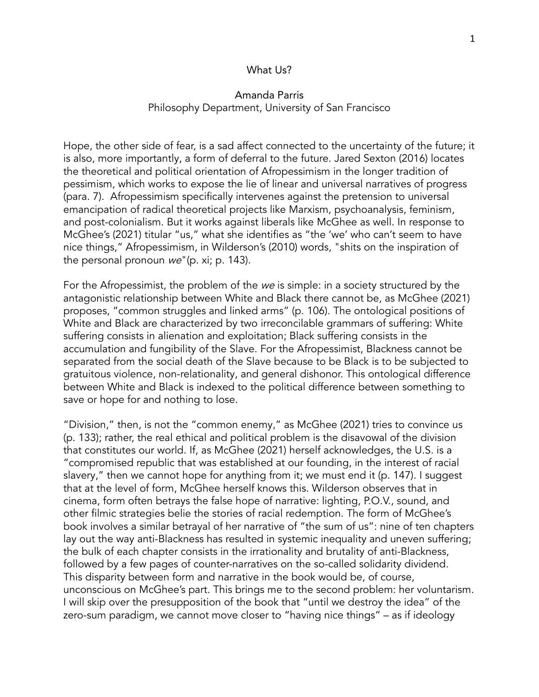## What Us?

## Amanda Parris Philosophy Department, University of San Francisco

Hope, the other side of fear, is a sad affect connected to the uncertainty of the future; it is also, more importantly, a form of deferral to the future. Jared Sexton (2016) locates the theoretical and political orientation of Afropessimism in the longer tradition of pessimism, which works to expose the lie of linear and universal narratives of progress (para. 7). Afropessimism specifically intervenes against the pretension to universal emancipation of radical theoretical projects like Marxism, psychoanalysis, feminism, and post-colonialism. But it works against liberals like McGhee as well. In response to McGhee's (2021) titular "us," what she identifies as "the 'we' who can't seem to have nice things," Afropessimism, in Wilderson's (2010) words, "shits on the inspiration of the personal pronoun we"(p. xi; p. 143).

For the Afropessimist, the problem of the we is simple: in a society structured by the antagonistic relationship between White and Black there cannot be, as McGhee (2021) proposes, "common struggles and linked arms" (p. 106). The ontological positions of White and Black are characterized by two irreconcilable grammars of suffering: White suffering consists in alienation and exploitation; Black suffering consists in the accumulation and fungibility of the Slave. For the Afropessimist, Blackness cannot be separated from the social death of the Slave because to be Black is to be subjected to gratuitous violence, non-relationality, and general dishonor. This ontological difference between White and Black is indexed to the political difference between something to save or hope for and nothing to lose.

"Division," then, is not the "common enemy," as McGhee (2021) tries to convince us (p. 133); rather, the real ethical and political problem is the disavowal of the division that constitutes our world. If, as McGhee (2021) herself acknowledges, the U.S. is a "compromised republic that was established at our founding, in the interest of racial slavery," then we cannot hope for anything from it; we must end it (p. 147). I suggest that at the level of form, McGhee herself knows this. Wilderson observes that in cinema, form often betrays the false hope of narrative: lighting, P.O.V., sound, and other filmic strategies belie the stories of racial redemption. The form of McGhee's book involves a similar betrayal of her narrative of "the sum of us": nine of ten chapters lay out the way anti-Blackness has resulted in systemic inequality and uneven suffering; the bulk of each chapter consists in the irrationality and brutality of anti-Blackness, followed by a few pages of counter-narratives on the so-called solidarity dividend. This disparity between form and narrative in the book would be, of course, unconscious on McGhee's part. This brings me to the second problem: her voluntarism. I will skip over the presupposition of the book that "until we destroy the idea" of the zero-sum paradigm, we cannot move closer to "having nice things" – as if ideology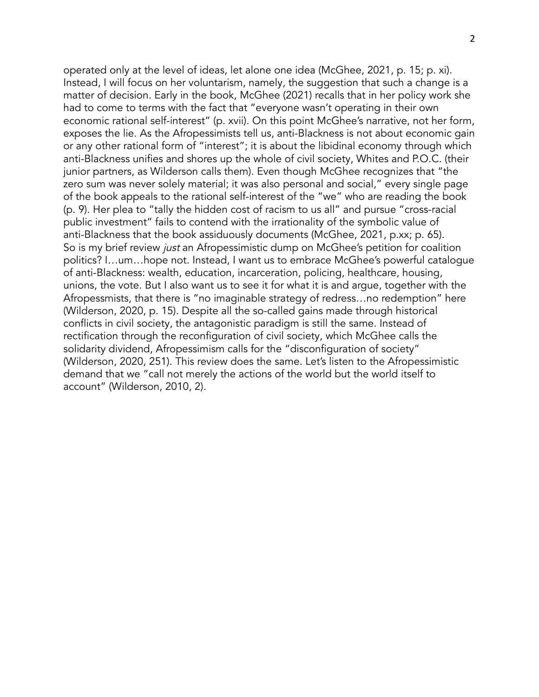operated only at the level of ideas, let alone one idea (McGhee, 2021, p. 15; p. xi). Instead, I will focus on her voluntarism, namely, the suggestion that such a change is a matter of decision. Early in the book, McGhee (2021) recalls that in her policy work she had to come to terms with the fact that "everyone wasn't operating in their own economic rational self-interest" (p. xvii). On this point McGhee's narrative, not her form, exposes the lie. As the Afropessimists tell us, anti-Blackness is not about economic gain or any other rational form of "interest"; it is about the libidinal economy through which anti-Blackness unifies and shores up the whole of civil society, Whites and P.O.C. (their junior partners, as Wilderson calls them). Even though McGhee recognizes that "the zero sum was never solely material; it was also personal and social," every single page of the book appeals to the rational self-interest of the "we" who are reading the book (p. 9). Her plea to "tally the hidden cost of racism to us all" and pursue "cross-racial public investment" fails to contend with the irrationality of the symbolic value of anti-Blackness that the book assiduously documents (McGhee, 2021, p.xx; p. 65). So is my brief review just an Afropessimistic dump on McGhee's petition for coalition politics? I…um…hope not. Instead, I want us to embrace McGhee's powerful catalogue of anti-Blackness: wealth, education, incarceration, policing, healthcare, housing, unions, the vote. But I also want us to see it for what it is and argue, together with the Afropessmists, that there is "no imaginable strategy of redress…no redemption" here (Wilderson, 2020, p. 15). Despite all the so-called gains made through historical conflicts in civil society, the antagonistic paradigm is still the same. Instead of rectification through the reconfiguration of civil society, which McGhee calls the solidarity dividend, Afropessimism calls for the "disconfiguration of society" (Wilderson, 2020, 251). This review does the same. Let's listen to the Afropessimistic demand that we "call not merely the actions of the world but the world itself to account" (Wilderson, 2010, 2).